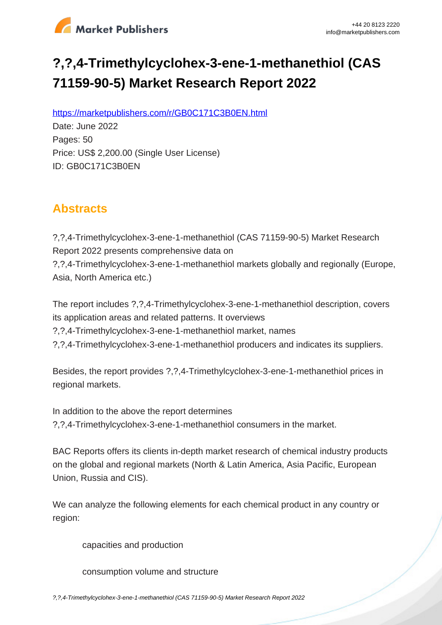

# **?,?,4-Trimethylcyclohex-3-ene-1-methanethiol (CAS 71159-90-5) Market Research Report 2022**

https://marketpublishers.com/r/GB0C171C3B0EN.html

Date: June 2022 Pages: 50 Price: US\$ 2,200.00 (Single User License) ID: GB0C171C3B0EN

# **Abstracts**

?,?,4-Trimethylcyclohex-3-ene-1-methanethiol (CAS 71159-90-5) Market Research Report 2022 presents comprehensive data on ?,?,4-Trimethylcyclohex-3-ene-1-methanethiol markets globally and regionally (Europe, Asia, North America etc.)

The report includes ?,?,4-Trimethylcyclohex-3-ene-1-methanethiol description, covers its application areas and related patterns. It overviews ?,?,4-Trimethylcyclohex-3-ene-1-methanethiol market, names ?,?,4-Trimethylcyclohex-3-ene-1-methanethiol producers and indicates its suppliers.

Besides, the report provides ?,?,4-Trimethylcyclohex-3-ene-1-methanethiol prices in regional markets.

In addition to the above the report determines ?,?,4-Trimethylcyclohex-3-ene-1-methanethiol consumers in the market.

BAC Reports offers its clients in-depth market research of chemical industry products on the global and regional markets (North & Latin America, Asia Pacific, European Union, Russia and CIS).

We can analyze the following elements for each chemical product in any country or region:

capacities and production

consumption volume and structure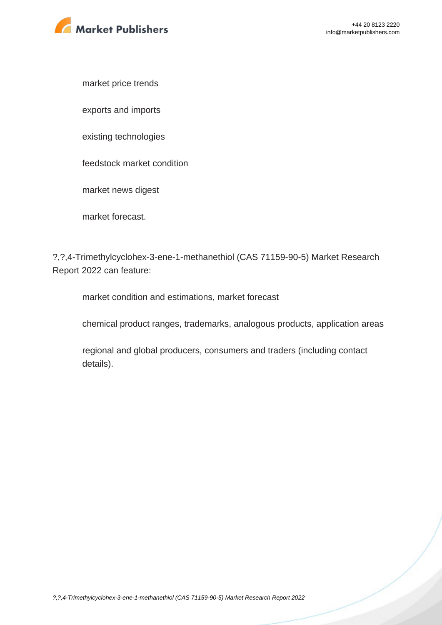

market price trends

exports and imports

existing technologies

feedstock market condition

market news digest

market forecast.

?,?,4-Trimethylcyclohex-3-ene-1-methanethiol (CAS 71159-90-5) Market Research Report 2022 can feature:

market condition and estimations, market forecast

chemical product ranges, trademarks, analogous products, application areas

regional and global producers, consumers and traders (including contact details).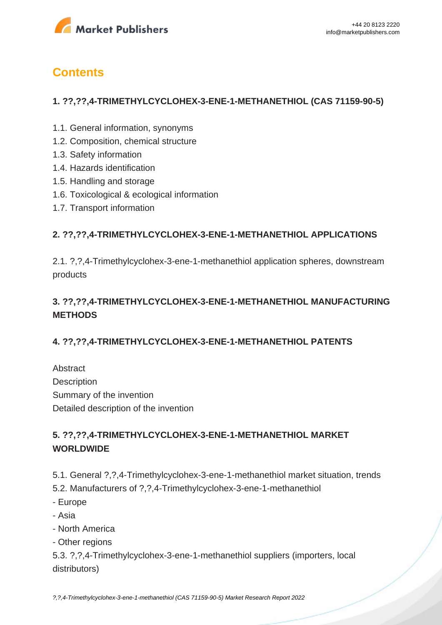

# **Contents**

#### **1. ??,??,4-TRIMETHYLCYCLOHEX-3-ENE-1-METHANETHIOL (CAS 71159-90-5)**

- 1.1. General information, synonyms
- 1.2. Composition, chemical structure
- 1.3. Safety information
- 1.4. Hazards identification
- 1.5. Handling and storage
- 1.6. Toxicological & ecological information
- 1.7. Transport information

#### **2. ??,??,4-TRIMETHYLCYCLOHEX-3-ENE-1-METHANETHIOL APPLICATIONS**

2.1. ?,?,4-Trimethylcyclohex-3-ene-1-methanethiol application spheres, downstream products

# **3. ??,??,4-TRIMETHYLCYCLOHEX-3-ENE-1-METHANETHIOL MANUFACTURING METHODS**

### **4. ??,??,4-TRIMETHYLCYCLOHEX-3-ENE-1-METHANETHIOL PATENTS**

Abstract **Description** Summary of the invention Detailed description of the invention

## **5. ??,??,4-TRIMETHYLCYCLOHEX-3-ENE-1-METHANETHIOL MARKET WORLDWIDE**

5.1. General ?,?,4-Trimethylcyclohex-3-ene-1-methanethiol market situation, trends

- 5.2. Manufacturers of ?,?,4-Trimethylcyclohex-3-ene-1-methanethiol
- Europe
- Asia
- North America
- Other regions

5.3. ?,?,4-Trimethylcyclohex-3-ene-1-methanethiol suppliers (importers, local distributors)

[?,?,4-Trimethylcyclohex-3-ene-1-methanethiol \(CAS 71159-90-5\) Market Research Report 2022](https://marketpublishers.com/report/industry/chemicals_petrochemicals/grapefruit_mercaotane_71159-90-5_market_research_report.html)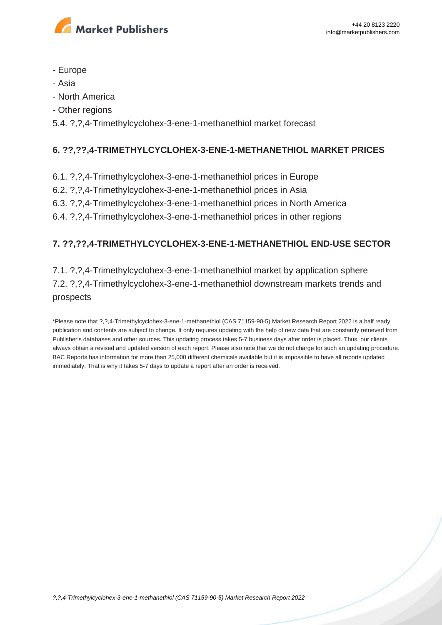

- Europe
- Asia
- North America
- Other regions

5.4. ?,?,4-Trimethylcyclohex-3-ene-1-methanethiol market forecast

### **6. ??,??,4-TRIMETHYLCYCLOHEX-3-ENE-1-METHANETHIOL MARKET PRICES**

- 6.1. ?,?,4-Trimethylcyclohex-3-ene-1-methanethiol prices in Europe
- 6.2. ?,?,4-Trimethylcyclohex-3-ene-1-methanethiol prices in Asia
- 6.3. ?,?,4-Trimethylcyclohex-3-ene-1-methanethiol prices in North America
- 6.4. ?,?,4-Trimethylcyclohex-3-ene-1-methanethiol prices in other regions

## **7. ??,??,4-TRIMETHYLCYCLOHEX-3-ENE-1-METHANETHIOL END-USE SECTOR**

7.1. ?,?,4-Trimethylcyclohex-3-ene-1-methanethiol market by application sphere 7.2. ?,?,4-Trimethylcyclohex-3-ene-1-methanethiol downstream markets trends and prospects

\*Please note that ?,?,4-Trimethylcyclohex-3-ene-1-methanethiol (CAS 71159-90-5) Market Research Report 2022 is a half ready publication and contents are subject to change. It only requires updating with the help of new data that are constantly retrieved from Publisher's databases and other sources. This updating process takes 5-7 business days after order is placed. Thus, our clients always obtain a revised and updated version of each report. Please also note that we do not charge for such an updating procedure. BAC Reports has information for more than 25,000 different chemicals available but it is impossible to have all reports updated immediately. That is why it takes 5-7 days to update a report after an order is received.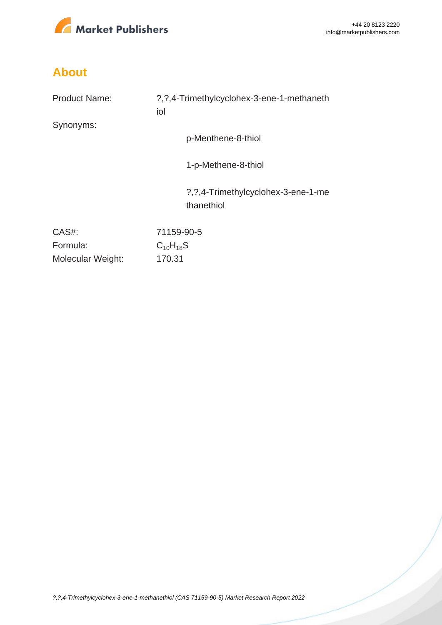

# **About**

| <b>Product Name:</b> | ?, ?, 4-Trimethylcyclohex-3-ene-1-methaneth<br>iol |
|----------------------|----------------------------------------------------|
| Synonyms:            |                                                    |
|                      | p-Menthene-8-thiol                                 |
|                      | 1-p-Methene-8-thiol                                |
|                      | ?, ?, 4-Trimethylcyclohex-3-ene-1-me<br>thanethiol |
| CAS#:                | 71159-90-5                                         |
| Formula:             | $C_{10}H_{18}S$                                    |
| Molecular Weight:    | 170.31                                             |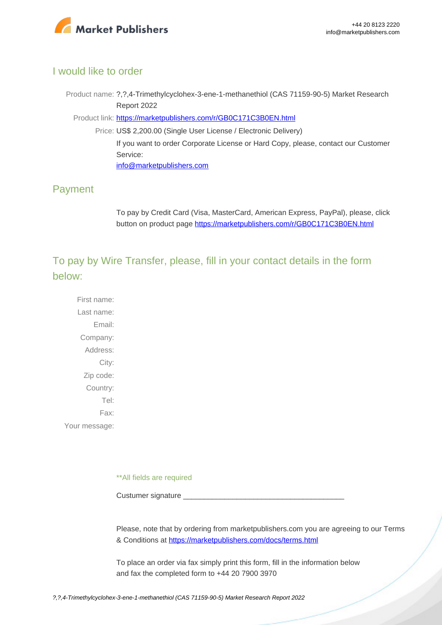

### I would like to order

Product name: ?,?,4-Trimethylcyclohex-3-ene-1-methanethiol (CAS 71159-90-5) Market Research Report 2022

Product link: [https://marketpublishers.com/r/GB0C171C3B0EN.html](https://marketpublishers.com/report/industry/chemicals_petrochemicals/grapefruit_mercaotane_71159-90-5_market_research_report.html)

Price: US\$ 2,200.00 (Single User License / Electronic Delivery) If you want to order Corporate License or Hard Copy, please, contact our Customer Service: [info@marketpublishers.com](mailto:info@marketpublishers.com)

## Payment

To pay by Credit Card (Visa, MasterCard, American Express, PayPal), please, click button on product page [https://marketpublishers.com/r/GB0C171C3B0EN.html](https://marketpublishers.com/report/industry/chemicals_petrochemicals/grapefruit_mercaotane_71159-90-5_market_research_report.html)

To pay by Wire Transfer, please, fill in your contact details in the form below:

First name: Last name: Email: Company: Address: City: Zip code: Country: Tel: Fax: Your message:

\*\*All fields are required

Custumer signature

Please, note that by ordering from marketpublishers.com you are agreeing to our Terms & Conditions at<https://marketpublishers.com/docs/terms.html>

To place an order via fax simply print this form, fill in the information below and fax the completed form to +44 20 7900 3970